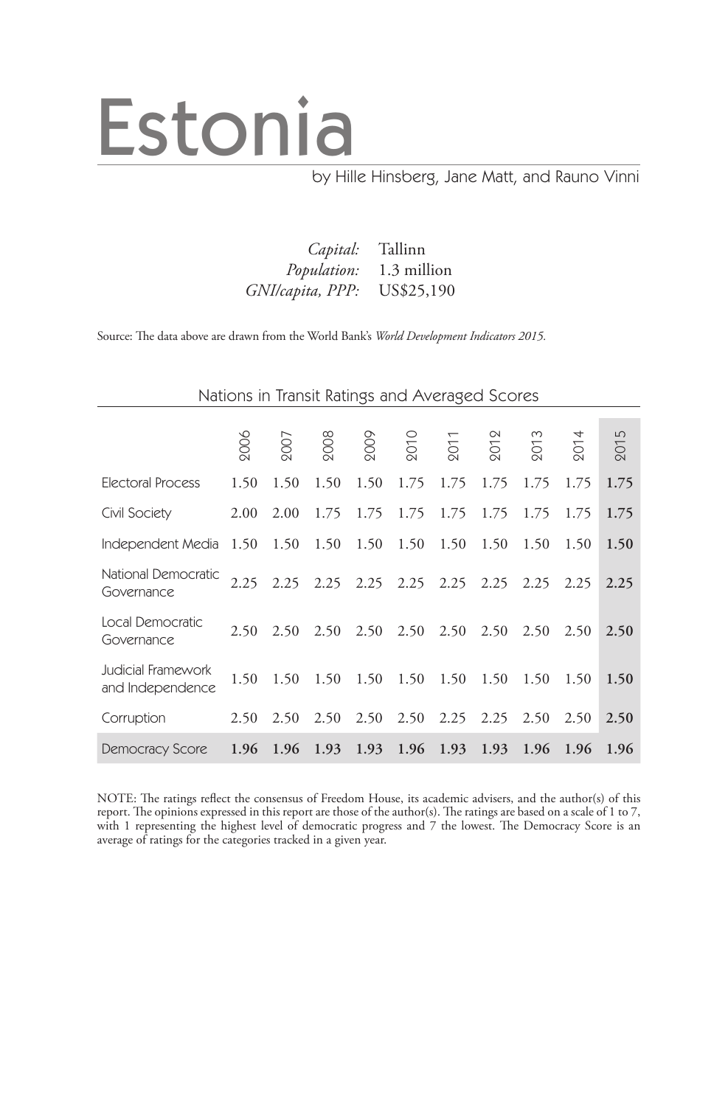# Estonia

### by Hille Hinsberg, Jane Matt, and Rauno Vinni

| Capital: Tallinn            |                                |
|-----------------------------|--------------------------------|
|                             | <i>Population:</i> 1.3 million |
| GNI/capita, PPP: US\$25,190 |                                |

Source: The data above are drawn from the World Bank's *World Development Indicators 2015.*

|                                        | Nations in Transit Ratings and Averaged Scores |      |      |      |                               |      |                |      |      |      |  |  |
|----------------------------------------|------------------------------------------------|------|------|------|-------------------------------|------|----------------|------|------|------|--|--|
|                                        |                                                |      |      |      |                               |      |                |      |      |      |  |  |
|                                        | 2006                                           | 2007 | 2008 | 2009 | 2010                          | 2011 | $\overline{5}$ | 201  | 201  | 2015 |  |  |
| <b>Electoral Process</b>               | 1.50                                           | 1.50 | 1.50 | 1.50 | 1.75                          | 1.75 | 1.75           | 1.75 | 1.75 | 1.75 |  |  |
| Civil Society                          | 2.00                                           | 2.00 | 1.75 | 1.75 | 1.75                          | 1.75 | 1.75           | 1.75 | 1.75 | 1.75 |  |  |
| Independent Media                      | 1.50 1.50                                      |      | 1.50 | 1.50 | 1.50                          | 1.50 | 1.50           | 1.50 | 1.50 | 1.50 |  |  |
| National Democratic<br>Governance      |                                                |      |      |      | 2.25 2.25 2.25 2.25 2.25 2.25 |      | 2.25           | 2.25 | 2.25 | 2.25 |  |  |
| Local Democratic<br>Governance         | 2.50                                           | 2.50 | 2.50 | 2.50 | 2.50                          | 2.50 | 2.50           | 2.50 | 2.50 | 2.50 |  |  |
| Judicial Framework<br>and Independence | 1.50                                           | 1.50 | 1.50 |      | 1.50 1.50 1.50                |      | 1.50           | 1.50 | 1.50 | 1.50 |  |  |
| Corruption                             | 2.50                                           | 2.50 | 2.50 |      | $2.50\quad 2.50$              |      | $2.25$ $2.25$  | 2.50 | 2.50 | 2.50 |  |  |
| <b>Democracy Score</b>                 |                                                |      |      |      | 1.96 1.96 1.93 1.93 1.96 1.93 |      | 1.93           | 1.96 | 1.96 | 1.96 |  |  |

NOTE: The ratings reflect the consensus of Freedom House, its academic advisers, and the author(s) of this report. The opinions expressed in this report are those of the author(s). The ratings are based on a scale of 1 to 7, with 1 representing the highest level of democratic progress and 7 the lowest. The Democracy Score is an average of ratings for the categories tracked in a given year.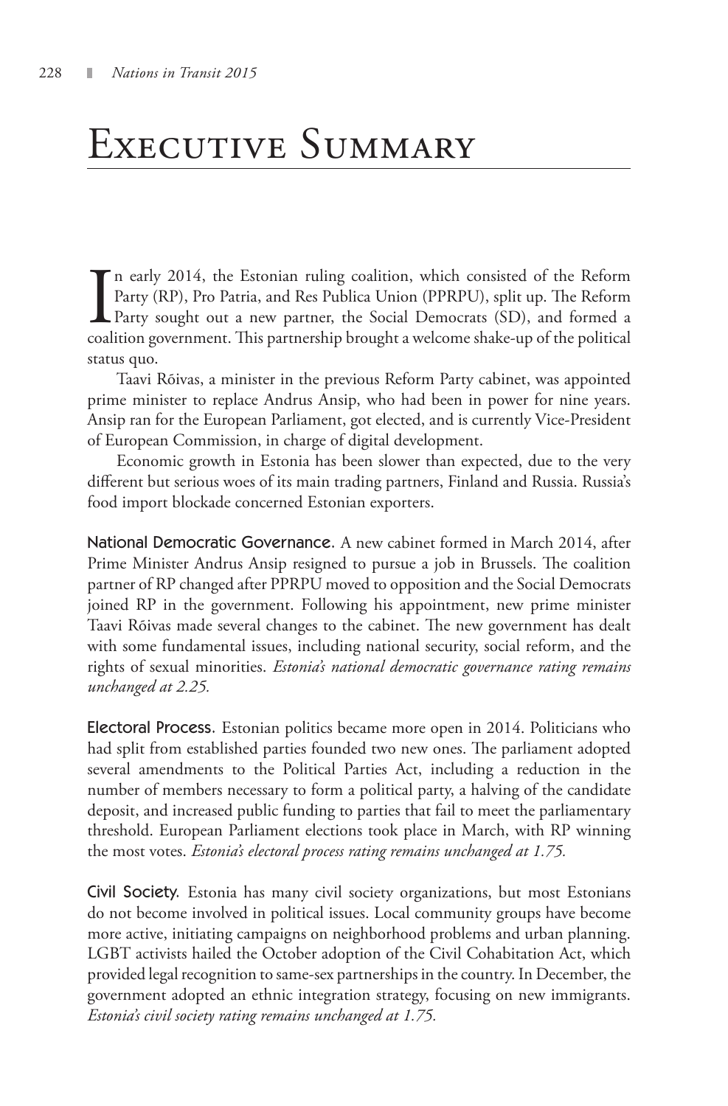### Executive Summary

In early 2014, the Estonian ruling coalition, which consisted of the Reform Party (RP), Pro Patria, and Res Publica Union (PPRPU), split up. The Reform Party sought out a new partner, the Social Democrats (SD), and formed n early 2014, the Estonian ruling coalition, which consisted of the Reform Party (RP), Pro Patria, and Res Publica Union (PPRPU), split up. The Reform Party sought out a new partner, the Social Democrats (SD), and formed a status quo.

Taavi Rõivas, a minister in the previous Reform Party cabinet, was appointed prime minister to replace Andrus Ansip, who had been in power for nine years. Ansip ran for the European Parliament, got elected, and is currently Vice-President of European Commission, in charge of digital development.

Economic growth in Estonia has been slower than expected, due to the very different but serious woes of its main trading partners, Finland and Russia. Russia's food import blockade concerned Estonian exporters.

National Democratic Governance. A new cabinet formed in March 2014, after Prime Minister Andrus Ansip resigned to pursue a job in Brussels. The coalition partner of RP changed after PPRPU moved to opposition and the Social Democrats joined RP in the government. Following his appointment, new prime minister Taavi Rõivas made several changes to the cabinet. The new government has dealt with some fundamental issues, including national security, social reform, and the rights of sexual minorities. *Estonia's national democratic governance rating remains unchanged at 2.25.*

Electoral Process. Estonian politics became more open in 2014. Politicians who had split from established parties founded two new ones. The parliament adopted several amendments to the Political Parties Act, including a reduction in the number of members necessary to form a political party, a halving of the candidate deposit, and increased public funding to parties that fail to meet the parliamentary threshold. European Parliament elections took place in March, with RP winning the most votes. *Estonia's electoral process rating remains unchanged at 1.75.*

Civil Society. Estonia has many civil society organizations, but most Estonians do not become involved in political issues. Local community groups have become more active, initiating campaigns on neighborhood problems and urban planning. LGBT activists hailed the October adoption of the Civil Cohabitation Act, which provided legal recognition to same-sex partnerships in the country. In December, the government adopted an ethnic integration strategy, focusing on new immigrants. *Estonia's civil society rating remains unchanged at 1.75.*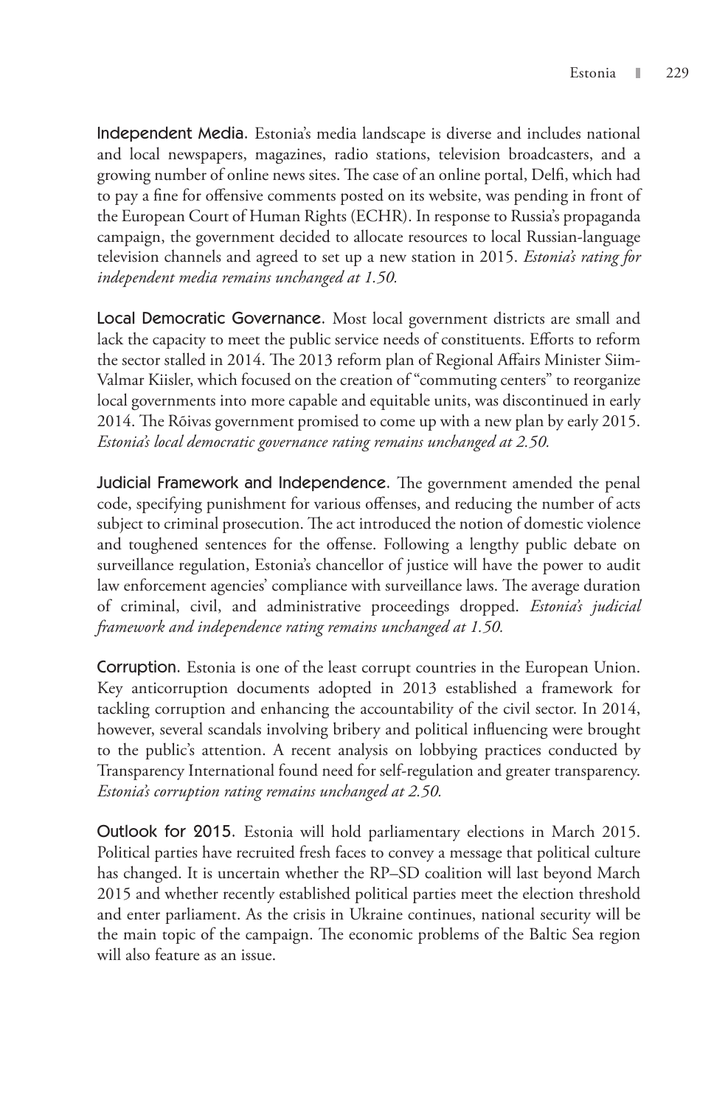Independent Media. Estonia's media landscape is diverse and includes national and local newspapers, magazines, radio stations, television broadcasters, and a growing number of online news sites. The case of an online portal, Delfi, which had to pay a fine for offensive comments posted on its website, was pending in front of the European Court of Human Rights (ECHR). In response to Russia's propaganda campaign, the government decided to allocate resources to local Russian-language television channels and agreed to set up a new station in 2015. *Estonia's rating for independent media remains unchanged at 1.50.*

Local Democratic Governance. Most local government districts are small and lack the capacity to meet the public service needs of constituents. Efforts to reform the sector stalled in 2014. The 2013 reform plan of Regional Affairs Minister Siim-Valmar Kiisler, which focused on the creation of "commuting centers" to reorganize local governments into more capable and equitable units, was discontinued in early 2014. The Rõivas government promised to come up with a new plan by early 2015. *Estonia's local democratic governance rating remains unchanged at 2.50.*

Judicial Framework and Independence. The government amended the penal code, specifying punishment for various offenses, and reducing the number of acts subject to criminal prosecution. The act introduced the notion of domestic violence and toughened sentences for the offense. Following a lengthy public debate on surveillance regulation, Estonia's chancellor of justice will have the power to audit law enforcement agencies' compliance with surveillance laws. The average duration of criminal, civil, and administrative proceedings dropped. *Estonia's judicial framework and independence rating remains unchanged at 1.50.*

Corruption. Estonia is one of the least corrupt countries in the European Union. Key anticorruption documents adopted in 2013 established a framework for tackling corruption and enhancing the accountability of the civil sector. In 2014, however, several scandals involving bribery and political influencing were brought to the public's attention. A recent analysis on lobbying practices conducted by Transparency International found need for self-regulation and greater transparency. *Estonia's corruption rating remains unchanged at 2.50.*

Outlook for 2015. Estonia will hold parliamentary elections in March 2015. Political parties have recruited fresh faces to convey a message that political culture has changed. It is uncertain whether the RP–SD coalition will last beyond March 2015 and whether recently established political parties meet the election threshold and enter parliament. As the crisis in Ukraine continues, national security will be the main topic of the campaign. The economic problems of the Baltic Sea region will also feature as an issue.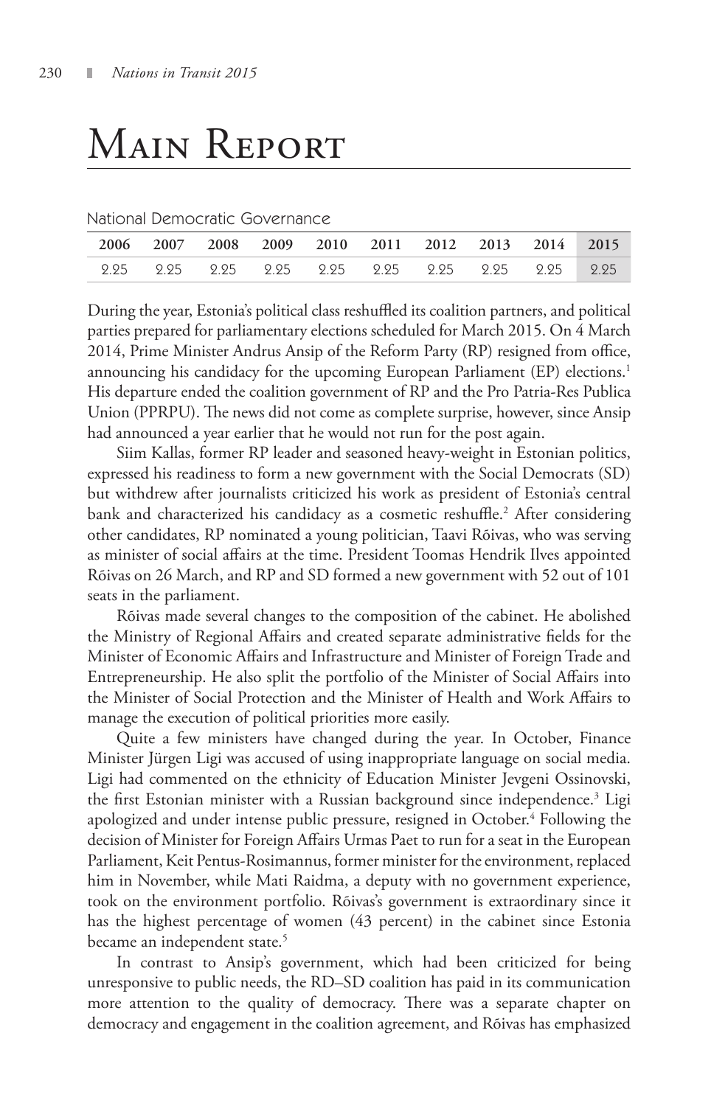## Main Report

|  |  | National Democratic Governance |  |
|--|--|--------------------------------|--|
|--|--|--------------------------------|--|

|  |  |  | 2006 2007 2008 2009 2010 2011 2012 2013 2014 2015 |  |  |
|--|--|--|---------------------------------------------------|--|--|
|  |  |  |                                                   |  |  |

During the year, Estonia's political class reshuffled its coalition partners, and political parties prepared for parliamentary elections scheduled for March 2015. On 4 March 2014, Prime Minister Andrus Ansip of the Reform Party (RP) resigned from office, announcing his candidacy for the upcoming European Parliament (EP) elections.<sup>1</sup> His departure ended the coalition government of RP and the Pro Patria-Res Publica Union (PPRPU). The news did not come as complete surprise, however, since Ansip had announced a year earlier that he would not run for the post again.

Siim Kallas, former RP leader and seasoned heavy-weight in Estonian politics, expressed his readiness to form a new government with the Social Democrats (SD) but withdrew after journalists criticized his work as president of Estonia's central bank and characterized his candidacy as a cosmetic reshuffle.<sup>2</sup> After considering other candidates, RP nominated a young politician, Taavi Rõivas, who was serving as minister of social affairs at the time. President Toomas Hendrik Ilves appointed Rõivas on 26 March, and RP and SD formed a new government with 52 out of 101 seats in the parliament.

Rõivas made several changes to the composition of the cabinet. He abolished the Ministry of Regional Affairs and created separate administrative fields for the Minister of Economic Affairs and Infrastructure and Minister of Foreign Trade and Entrepreneurship. He also split the portfolio of the Minister of Social Affairs into the Minister of Social Protection and the Minister of Health and Work Affairs to manage the execution of political priorities more easily.

Quite a few ministers have changed during the year. In October, Finance Minister Jürgen Ligi was accused of using inappropriate language on social media. Ligi had commented on the ethnicity of Education Minister Jevgeni Ossinovski, the first Estonian minister with a Russian background since independence.<sup>3</sup> Ligi apologized and under intense public pressure, resigned in October.<sup>4</sup> Following the decision of Minister for Foreign Affairs Urmas Paet to run for a seat in the European Parliament, Keit Pentus-Rosimannus, former minister for the environment, replaced him in November, while Mati Raidma, a deputy with no government experience, took on the environment portfolio. Rõivas's government is extraordinary since it has the highest percentage of women (43 percent) in the cabinet since Estonia became an independent state.<sup>5</sup>

In contrast to Ansip's government, which had been criticized for being unresponsive to public needs, the RD–SD coalition has paid in its communication more attention to the quality of democracy. There was a separate chapter on democracy and engagement in the coalition agreement, and Rõivas has emphasized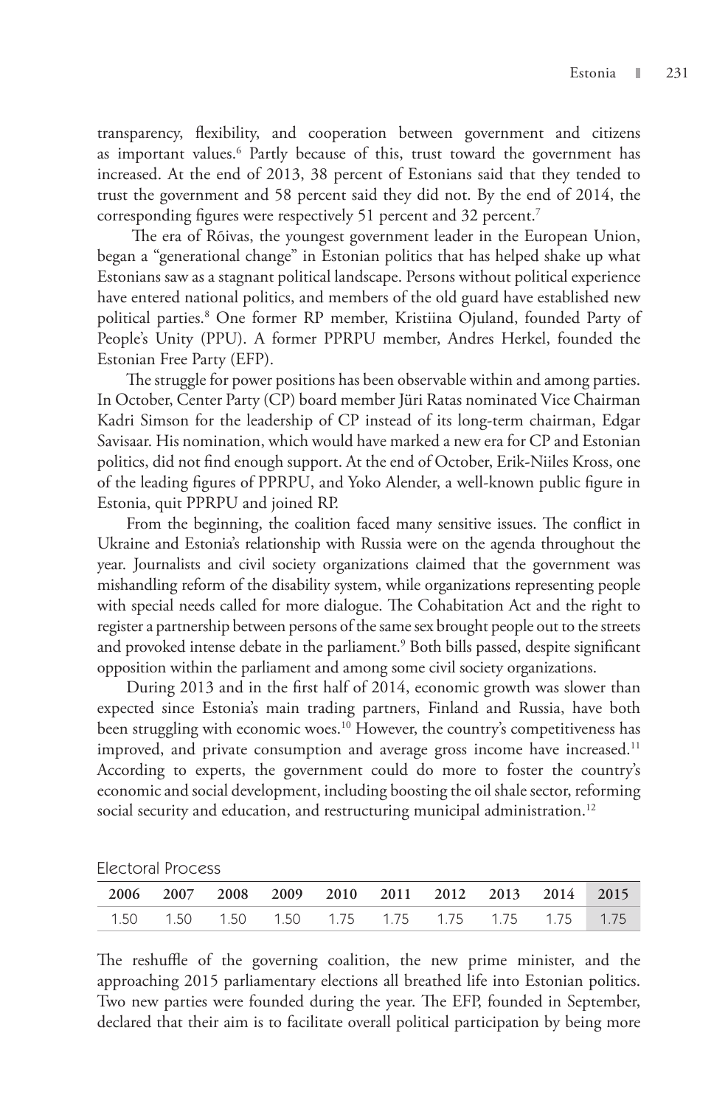transparency, flexibility, and cooperation between government and citizens as important values.6 Partly because of this, trust toward the government has increased. At the end of 2013, 38 percent of Estonians said that they tended to trust the government and 58 percent said they did not. By the end of 2014, the corresponding figures were respectively 51 percent and 32 percent.<sup>7</sup>

 The era of Rõivas, the youngest government leader in the European Union, began a "generational change" in Estonian politics that has helped shake up what Estonians saw as a stagnant political landscape. Persons without political experience have entered national politics, and members of the old guard have established new political parties.8 One former RP member, Kristiina Ojuland, founded Party of People's Unity (PPU). A former PPRPU member, Andres Herkel, founded the Estonian Free Party (EFP).

The struggle for power positions has been observable within and among parties. In October, Center Party (CP) board member Jüri Ratas nominated Vice Chairman Kadri Simson for the leadership of CP instead of its long-term chairman, Edgar Savisaar. His nomination, which would have marked a new era for CP and Estonian politics, did not find enough support. At the end of October, Erik-Niiles Kross, one of the leading figures of PPRPU, and Yoko Alender, a well-known public figure in Estonia, quit PPRPU and joined RP.

From the beginning, the coalition faced many sensitive issues. The conflict in Ukraine and Estonia's relationship with Russia were on the agenda throughout the year. Journalists and civil society organizations claimed that the government was mishandling reform of the disability system, while organizations representing people with special needs called for more dialogue. The Cohabitation Act and the right to register a partnership between persons of the same sex brought people out to the streets and provoked intense debate in the parliament.<sup>9</sup> Both bills passed, despite significant opposition within the parliament and among some civil society organizations.

During 2013 and in the first half of 2014, economic growth was slower than expected since Estonia's main trading partners, Finland and Russia, have both been struggling with economic woes.<sup>10</sup> However, the country's competitiveness has improved, and private consumption and average gross income have increased.<sup>11</sup> According to experts, the government could do more to foster the country's economic and social development, including boosting the oil shale sector, reforming social security and education, and restructuring municipal administration.<sup>12</sup>

Electoral Process

|  |  | 2006 2007 2008 2009 2010 2011 2012 2013 2014 2015 |  |  |  |
|--|--|---------------------------------------------------|--|--|--|
|  |  | 1.50 1.50 1.50 1.50 1.75 1.75 1.75 1.75 1.75 1.75 |  |  |  |

The reshuffle of the governing coalition, the new prime minister, and the approaching 2015 parliamentary elections all breathed life into Estonian politics. Two new parties were founded during the year. The EFP, founded in September, declared that their aim is to facilitate overall political participation by being more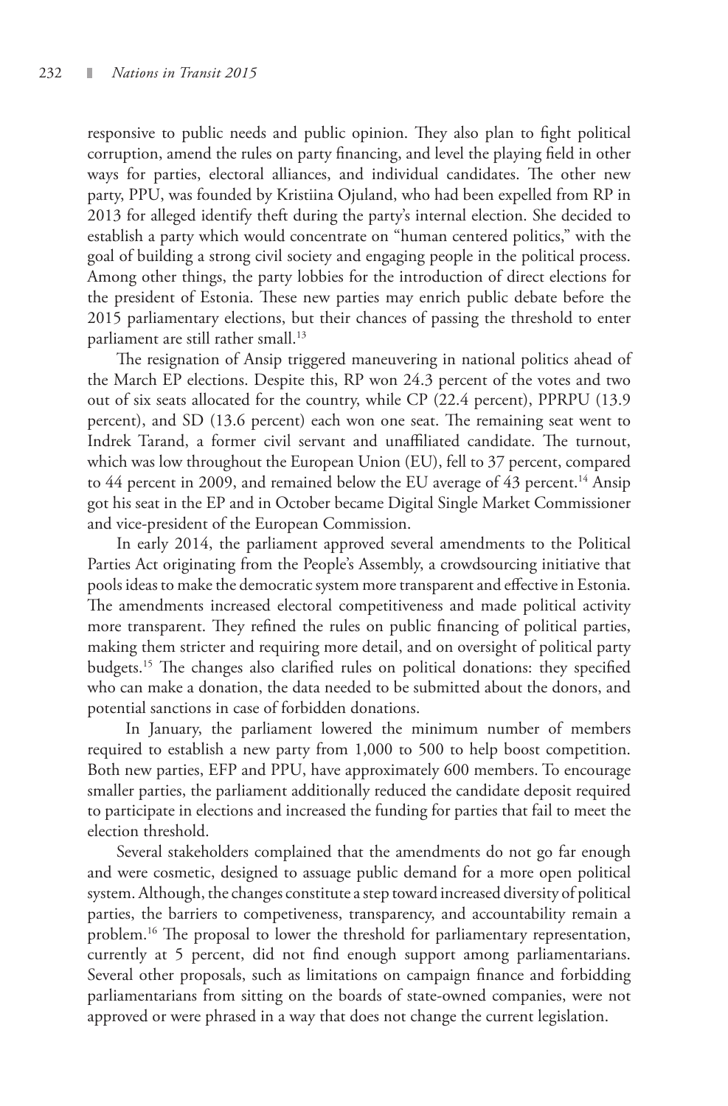responsive to public needs and public opinion. They also plan to fight political corruption, amend the rules on party financing, and level the playing field in other ways for parties, electoral alliances, and individual candidates. The other new party, PPU, was founded by Kristiina Ojuland, who had been expelled from RP in 2013 for alleged identify theft during the party's internal election. She decided to establish a party which would concentrate on "human centered politics," with the goal of building a strong civil society and engaging people in the political process. Among other things, the party lobbies for the introduction of direct elections for the president of Estonia. These new parties may enrich public debate before the 2015 parliamentary elections, but their chances of passing the threshold to enter parliament are still rather small.<sup>13</sup>

The resignation of Ansip triggered maneuvering in national politics ahead of the March EP elections. Despite this, RP won 24.3 percent of the votes and two out of six seats allocated for the country, while CP (22.4 percent), PPRPU (13.9 percent), and SD (13.6 percent) each won one seat. The remaining seat went to Indrek Tarand, a former civil servant and unaffiliated candidate. The turnout, which was low throughout the European Union (EU), fell to 37 percent, compared to 44 percent in 2009, and remained below the EU average of 43 percent.<sup>14</sup> Ansip got his seat in the EP and in October became Digital Single Market Commissioner and vice-president of the European Commission.

In early 2014, the parliament approved several amendments to the Political Parties Act originating from the People's Assembly, a crowdsourcing initiative that pools ideas to make the democratic system more transparent and effective in Estonia. The amendments increased electoral competitiveness and made political activity more transparent. They refined the rules on public financing of political parties, making them stricter and requiring more detail, and on oversight of political party budgets.15 The changes also clarified rules on political donations: they specified who can make a donation, the data needed to be submitted about the donors, and potential sanctions in case of forbidden donations.

 In January, the parliament lowered the minimum number of members required to establish a new party from 1,000 to 500 to help boost competition. Both new parties, EFP and PPU, have approximately 600 members. To encourage smaller parties, the parliament additionally reduced the candidate deposit required to participate in elections and increased the funding for parties that fail to meet the election threshold.

Several stakeholders complained that the amendments do not go far enough and were cosmetic, designed to assuage public demand for a more open political system. Although, the changes constitute a step toward increased diversity of political parties, the barriers to competiveness, transparency, and accountability remain a problem.<sup>16</sup> The proposal to lower the threshold for parliamentary representation, currently at 5 percent, did not find enough support among parliamentarians. Several other proposals, such as limitations on campaign finance and forbidding parliamentarians from sitting on the boards of state-owned companies, were not approved or were phrased in a way that does not change the current legislation.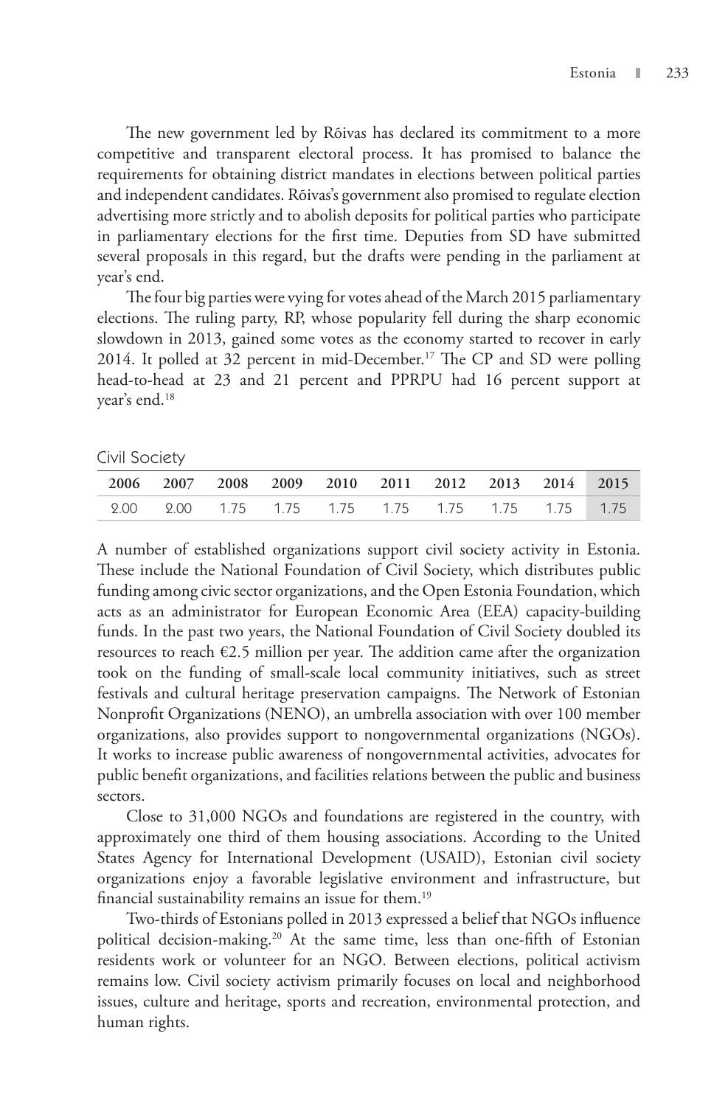The new government led by Rõivas has declared its commitment to a more competitive and transparent electoral process. It has promised to balance the requirements for obtaining district mandates in elections between political parties and independent candidates. Rõivas's government also promised to regulate election advertising more strictly and to abolish deposits for political parties who participate in parliamentary elections for the first time. Deputies from SD have submitted several proposals in this regard, but the drafts were pending in the parliament at year's end.

The four big parties were vying for votes ahead of the March 2015 parliamentary elections. The ruling party, RP, whose popularity fell during the sharp economic slowdown in 2013, gained some votes as the economy started to recover in early 2014. It polled at 32 percent in mid-December.<sup>17</sup> The CP and SD were polling head-to-head at 23 and 21 percent and PPRPU had 16 percent support at year's end.18

Civil Society

|  |  |  | 2006 2007 2008 2009 2010 2011 2012 2013 2014 2015 |  |  |
|--|--|--|---------------------------------------------------|--|--|
|  |  |  |                                                   |  |  |

A number of established organizations support civil society activity in Estonia. These include the National Foundation of Civil Society, which distributes public funding among civic sector organizations, and the Open Estonia Foundation, which acts as an administrator for European Economic Area (EEA) capacity-building funds. In the past two years, the National Foundation of Civil Society doubled its resources to reach  $\epsilon$ 2.5 million per year. The addition came after the organization took on the funding of small-scale local community initiatives, such as street festivals and cultural heritage preservation campaigns. The Network of Estonian Nonprofit Organizations (NENO), an umbrella association with over 100 member organizations, also provides support to nongovernmental organizations (NGOs). It works to increase public awareness of nongovernmental activities, advocates for public benefit organizations, and facilities relations between the public and business sectors.

Close to 31,000 NGOs and foundations are registered in the country, with approximately one third of them housing associations. According to the United States Agency for International Development (USAID), Estonian civil society organizations enjoy a favorable legislative environment and infrastructure, but financial sustainability remains an issue for them.19

Two-thirds of Estonians polled in 2013 expressed a belief that NGOs influence political decision-making.<sup>20</sup> At the same time, less than one-fifth of Estonian residents work or volunteer for an NGO. Between elections, political activism remains low. Civil society activism primarily focuses on local and neighborhood issues, culture and heritage, sports and recreation, environmental protection, and human rights.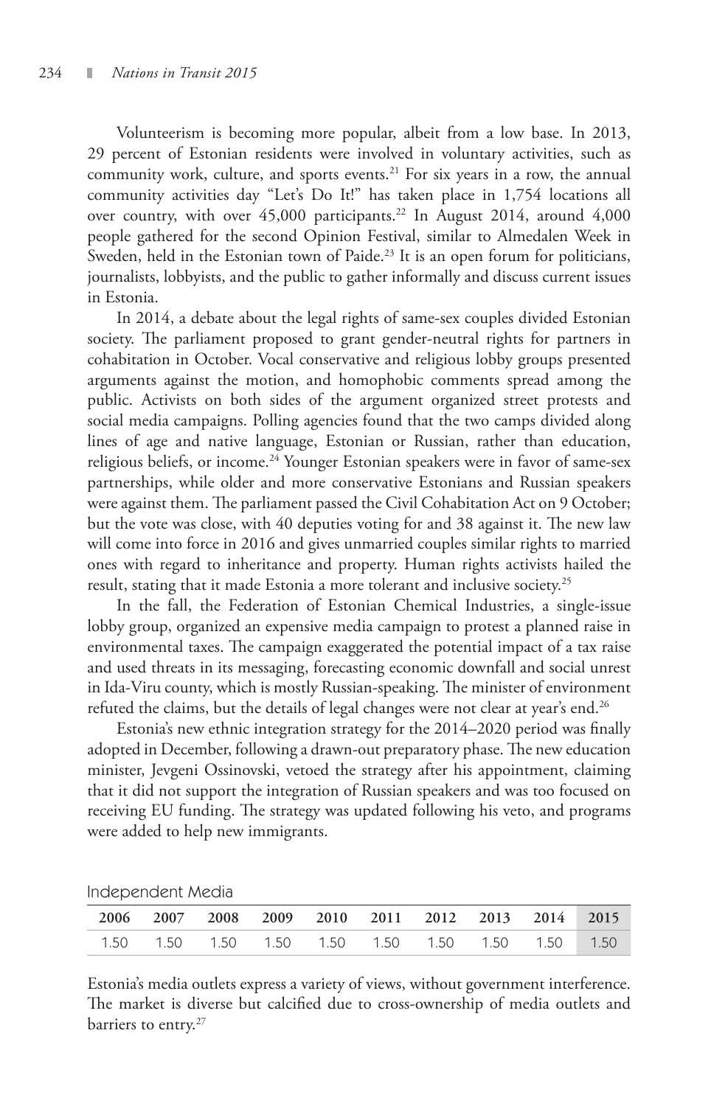Volunteerism is becoming more popular, albeit from a low base. In 2013, 29 percent of Estonian residents were involved in voluntary activities, such as community work, culture, and sports events.<sup>21</sup> For six years in a row, the annual community activities day "Let's Do It!" has taken place in 1,754 locations all over country, with over  $45,000$  participants.<sup>22</sup> In August 2014, around  $4,000$ people gathered for the second Opinion Festival, similar to Almedalen Week in Sweden, held in the Estonian town of Paide.<sup>23</sup> It is an open forum for politicians, journalists, lobbyists, and the public to gather informally and discuss current issues in Estonia.

In 2014, a debate about the legal rights of same-sex couples divided Estonian society. The parliament proposed to grant gender-neutral rights for partners in cohabitation in October. Vocal conservative and religious lobby groups presented arguments against the motion, and homophobic comments spread among the public. Activists on both sides of the argument organized street protests and social media campaigns. Polling agencies found that the two camps divided along lines of age and native language, Estonian or Russian, rather than education, religious beliefs, or income.<sup>24</sup> Younger Estonian speakers were in favor of same-sex partnerships, while older and more conservative Estonians and Russian speakers were against them. The parliament passed the Civil Cohabitation Act on 9 October; but the vote was close, with 40 deputies voting for and 38 against it. The new law will come into force in 2016 and gives unmarried couples similar rights to married ones with regard to inheritance and property. Human rights activists hailed the result, stating that it made Estonia a more tolerant and inclusive society.<sup>25</sup>

In the fall, the Federation of Estonian Chemical Industries, a single-issue lobby group, organized an expensive media campaign to protest a planned raise in environmental taxes. The campaign exaggerated the potential impact of a tax raise and used threats in its messaging, forecasting economic downfall and social unrest in Ida-Viru county, which is mostly Russian-speaking. The minister of environment refuted the claims, but the details of legal changes were not clear at year's end.<sup>26</sup>

Estonia's new ethnic integration strategy for the 2014–2020 period was finally adopted in December, following a drawn-out preparatory phase. The new education minister, Jevgeni Ossinovski, vetoed the strategy after his appointment, claiming that it did not support the integration of Russian speakers and was too focused on receiving EU funding. The strategy was updated following his veto, and programs were added to help new immigrants.

Independent Media

| 2006 2007 2008 2009 2010 2011 2012 2013 2014 2015            |  |  |  |  |  |
|--------------------------------------------------------------|--|--|--|--|--|
| 1.50   1.50   1.50   1.50   1.50   1.50   1.50   1.50   1.50 |  |  |  |  |  |

Estonia's media outlets express a variety of views, without government interference. The market is diverse but calcified due to cross-ownership of media outlets and barriers to entry.<sup>27</sup>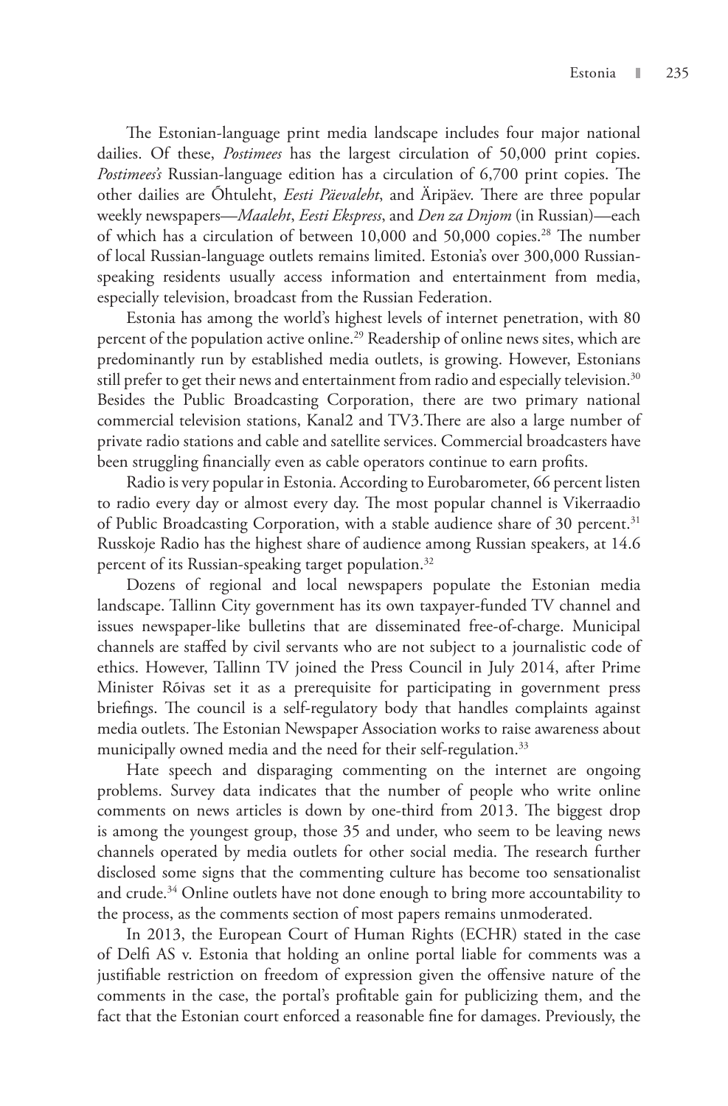The Estonian-language print media landscape includes four major national dailies. Of these, *Postimees* has the largest circulation of 50,000 print copies. *Postimees's* Russian-language edition has a circulation of 6,700 print copies. The other dailies are Õhtuleht, *Eesti Päevaleht*, and Äripäev. There are three popular weekly newspapers—*Maaleht*, *Eesti Ekspress*, and *Den za Dnjom* (in Russian)—each of which has a circulation of between 10,000 and 50,000 copies.<sup>28</sup> The number of local Russian-language outlets remains limited. Estonia's over 300,000 Russianspeaking residents usually access information and entertainment from media, especially television, broadcast from the Russian Federation.

Estonia has among the world's highest levels of internet penetration, with 80 percent of the population active online.<sup>29</sup> Readership of online news sites, which are predominantly run by established media outlets, is growing. However, Estonians still prefer to get their news and entertainment from radio and especially television. $30$ Besides the Public Broadcasting Corporation, there are two primary national commercial television stations, Kanal2 and TV3.There are also a large number of private radio stations and cable and satellite services. Commercial broadcasters have been struggling financially even as cable operators continue to earn profits.

Radio is very popular in Estonia. According to Eurobarometer, 66 percent listen to radio every day or almost every day. The most popular channel is Vikerraadio of Public Broadcasting Corporation, with a stable audience share of 30 percent.<sup>31</sup> Russkoje Radio has the highest share of audience among Russian speakers, at 14.6 percent of its Russian-speaking target population.<sup>32</sup>

Dozens of regional and local newspapers populate the Estonian media landscape. Tallinn City government has its own taxpayer-funded TV channel and issues newspaper-like bulletins that are disseminated free-of-charge. Municipal channels are staffed by civil servants who are not subject to a journalistic code of ethics. However, Tallinn TV joined the Press Council in July 2014, after Prime Minister Rõivas set it as a prerequisite for participating in government press briefings. The council is a self-regulatory body that handles complaints against media outlets. The Estonian Newspaper Association works to raise awareness about municipally owned media and the need for their self-regulation.<sup>33</sup>

Hate speech and disparaging commenting on the internet are ongoing problems. Survey data indicates that the number of people who write online comments on news articles is down by one-third from 2013. The biggest drop is among the youngest group, those 35 and under, who seem to be leaving news channels operated by media outlets for other social media. The research further disclosed some signs that the commenting culture has become too sensationalist and crude.<sup>34</sup> Online outlets have not done enough to bring more accountability to the process, as the comments section of most papers remains unmoderated.

In 2013, the European Court of Human Rights (ECHR) stated in the case of Delfi AS v. Estonia that holding an online portal liable for comments was a justifiable restriction on freedom of expression given the offensive nature of the comments in the case, the portal's profitable gain for publicizing them, and the fact that the Estonian court enforced a reasonable fine for damages. Previously, the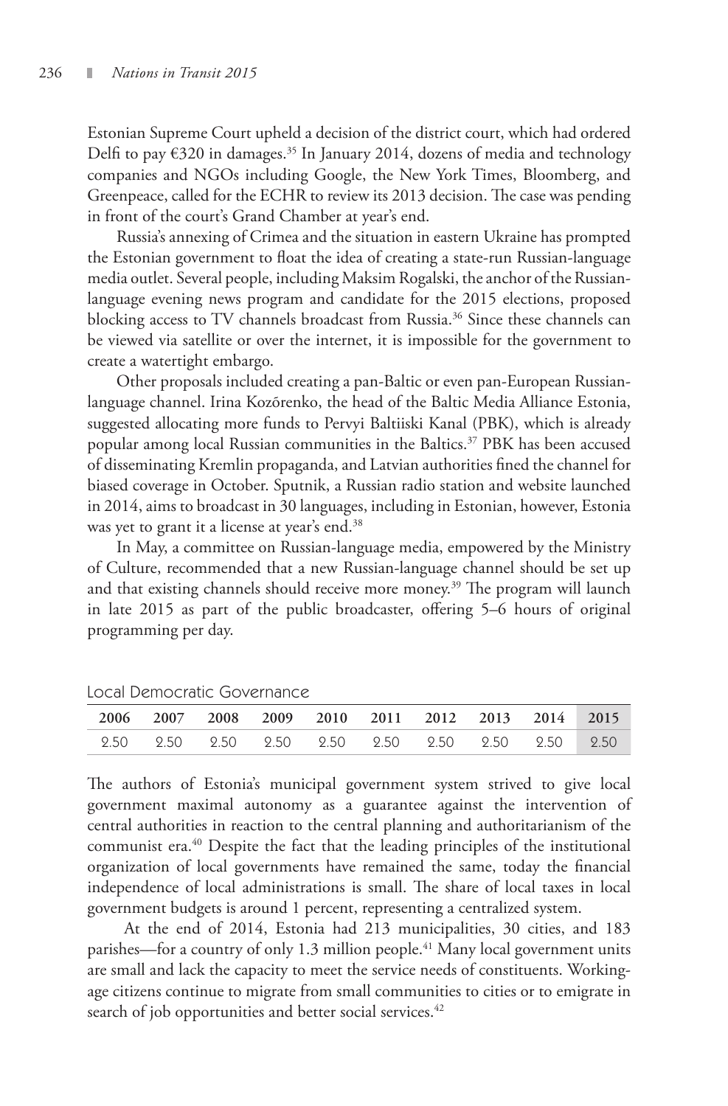Estonian Supreme Court upheld a decision of the district court, which had ordered Delfi to pay €320 in damages.<sup>35</sup> In January 2014, dozens of media and technology companies and NGOs including Google, the New York Times, Bloomberg, and Greenpeace, called for the ECHR to review its 2013 decision. The case was pending in front of the court's Grand Chamber at year's end.

Russia's annexing of Crimea and the situation in eastern Ukraine has prompted the Estonian government to float the idea of creating a state-run Russian-language media outlet. Several people, including Maksim Rogalski, the anchor of the Russianlanguage evening news program and candidate for the 2015 elections, proposed blocking access to TV channels broadcast from Russia.<sup>36</sup> Since these channels can be viewed via satellite or over the internet, it is impossible for the government to create a watertight embargo.

Other proposals included creating a pan-Baltic or even pan-European Russianlanguage channel. Irina Kozõrenko, the head of the Baltic Media Alliance Estonia, suggested allocating more funds to Pervyi Baltiiski Kanal (PBK), which is already popular among local Russian communities in the Baltics.<sup>37</sup> PBK has been accused of disseminating Kremlin propaganda, and Latvian authorities fined the channel for biased coverage in October. Sputnik, a Russian radio station and website launched in 2014, aims to broadcast in 30 languages, including in Estonian, however, Estonia was yet to grant it a license at year's end.<sup>38</sup>

In May, a committee on Russian-language media, empowered by the Ministry of Culture, recommended that a new Russian-language channel should be set up and that existing channels should receive more money.<sup>39</sup> The program will launch in late 2015 as part of the public broadcaster, offering 5–6 hours of original programming per day.

|  |  |  |  | 2006 2007 2008 2009 2010 2011 2012 2013 2014 2015 |  |
|--|--|--|--|---------------------------------------------------|--|
|  |  |  |  |                                                   |  |

Local Democratic Governance

The authors of Estonia's municipal government system strived to give local government maximal autonomy as a guarantee against the intervention of central authorities in reaction to the central planning and authoritarianism of the communist era.40 Despite the fact that the leading principles of the institutional organization of local governments have remained the same, today the financial independence of local administrations is small. The share of local taxes in local government budgets is around 1 percent, representing a centralized system.

 At the end of 2014, Estonia had 213 municipalities, 30 cities, and 183 parishes—for a country of only 1.3 million people.<sup>41</sup> Many local government units are small and lack the capacity to meet the service needs of constituents. Workingage citizens continue to migrate from small communities to cities or to emigrate in search of job opportunities and better social services.<sup>42</sup>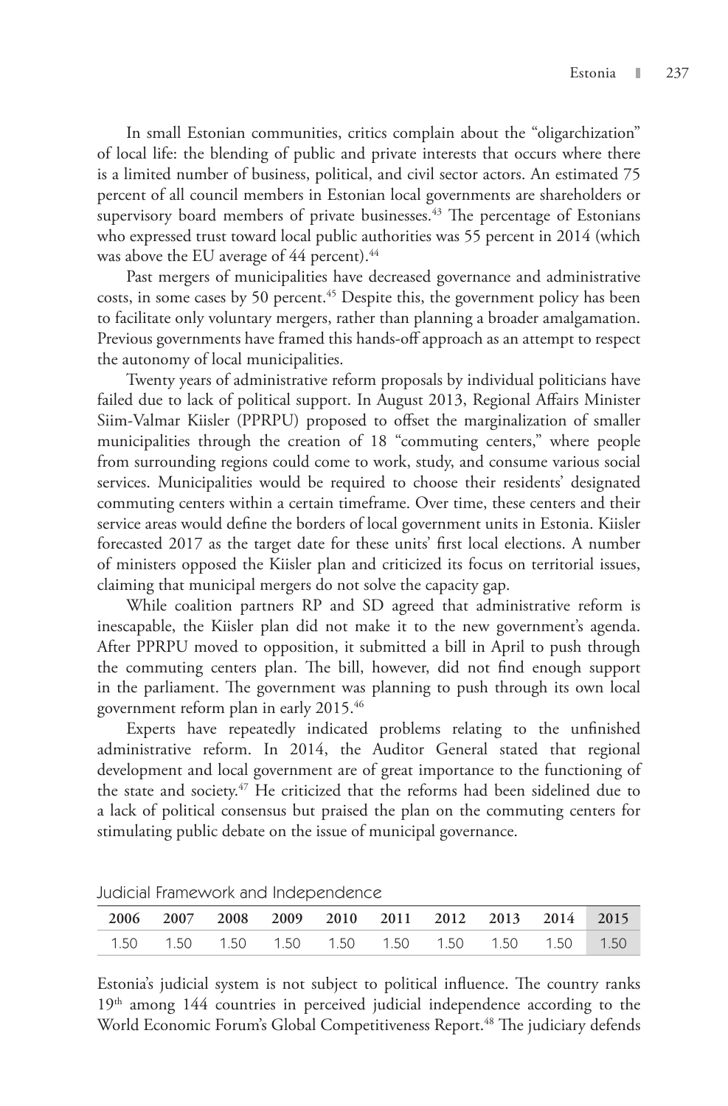In small Estonian communities, critics complain about the "oligarchization" of local life: the blending of public and private interests that occurs where there is a limited number of business, political, and civil sector actors. An estimated 75 percent of all council members in Estonian local governments are shareholders or supervisory board members of private businesses.<sup>43</sup> The percentage of Estonians who expressed trust toward local public authorities was 55 percent in 2014 (which was above the EU average of 44 percent).<sup>44</sup>

Past mergers of municipalities have decreased governance and administrative costs, in some cases by 50 percent.<sup>45</sup> Despite this, the government policy has been to facilitate only voluntary mergers, rather than planning a broader amalgamation. Previous governments have framed this hands-off approach as an attempt to respect the autonomy of local municipalities.

Twenty years of administrative reform proposals by individual politicians have failed due to lack of political support. In August 2013, Regional Affairs Minister Siim-Valmar Kiisler (PPRPU) proposed to offset the marginalization of smaller municipalities through the creation of 18 "commuting centers," where people from surrounding regions could come to work, study, and consume various social services. Municipalities would be required to choose their residents' designated commuting centers within a certain timeframe. Over time, these centers and their service areas would define the borders of local government units in Estonia. Kiisler forecasted 2017 as the target date for these units' first local elections. A number of ministers opposed the Kiisler plan and criticized its focus on territorial issues, claiming that municipal mergers do not solve the capacity gap.

While coalition partners RP and SD agreed that administrative reform is inescapable, the Kiisler plan did not make it to the new government's agenda. After PPRPU moved to opposition, it submitted a bill in April to push through the commuting centers plan. The bill, however, did not find enough support in the parliament. The government was planning to push through its own local government reform plan in early 2015.46

Experts have repeatedly indicated problems relating to the unfinished administrative reform. In 2014, the Auditor General stated that regional development and local government are of great importance to the functioning of the state and society.<sup>47</sup> He criticized that the reforms had been sidelined due to a lack of political consensus but praised the plan on the commuting centers for stimulating public debate on the issue of municipal governance.

|  |  |  | 2006 2007 2008 2009 2010 2011 2012 2013 2014 2015    |  |  |
|--|--|--|------------------------------------------------------|--|--|
|  |  |  | 1.50  1.50  1.50  1.50  1.50  1.50  1.50  1.50  1.50 |  |  |

Judicial Framework and Independence

Estonia's judicial system is not subject to political influence. The country ranks 19<sup>th</sup> among 144 countries in perceived judicial independence according to the World Economic Forum's Global Competitiveness Report.<sup>48</sup> The judiciary defends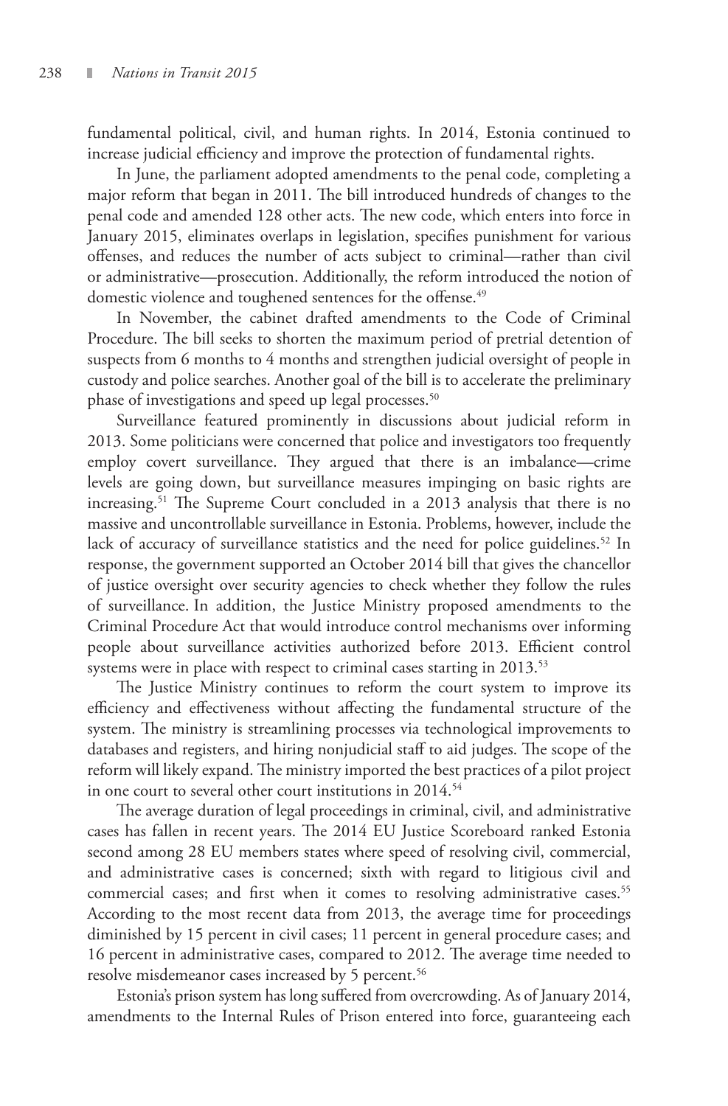fundamental political, civil, and human rights. In 2014, Estonia continued to increase judicial efficiency and improve the protection of fundamental rights .

In June, the parliament adopted amendments to the penal code, completing a major reform that began in 2011. The bill introduced hundreds of changes to the penal code and amended 128 other acts. The new code, which enters into force in January 2015, eliminates overlaps in legislation, specifies punishment for various offenses, and reduces the number of acts subject to criminal—rather than civil or administrative—prosecution. Additionally, the reform introduced the notion of domestic violence and toughened sentences for the offense.<sup>49</sup>

In November, the cabinet drafted amendments to the Code of Criminal Procedure. The bill seeks to shorten the maximum period of pretrial detention of suspects from 6 months to 4 months and strengthen judicial oversight of people in custody and police searches. Another goal of the bill is to accelerate the preliminary phase of investigations and speed up legal processes.<sup>50</sup>

Surveillance featured prominently in discussions about judicial reform in 2013. Some politicians were concerned that police and investigators too frequently employ covert surveillance. They argued that there is an imbalance—crime levels are going down, but surveillance measures impinging on basic rights are increasing.51 The Supreme Court concluded in a 2013 analysis that there is no massive and uncontrollable surveillance in Estonia. Problems, however, include the lack of accuracy of surveillance statistics and the need for police guidelines.<sup>52</sup> In response, the government supported an October 2014 bill that gives the chancellor of justice oversight over security agencies to check whether they follow the rules of surveillance. In addition, the Justice Ministry proposed amendments to the Criminal Procedure Act that would introduce control mechanisms over informing people about surveillance activities authorized before 2013. Efficient control systems were in place with respect to criminal cases starting in 2013.<sup>53</sup>

The Justice Ministry continues to reform the court system to improve its efficiency and effectiveness without affecting the fundamental structure of the system. The ministry is streamlining processes via technological improvements to databases and registers, and hiring nonjudicial staff to aid judges. The scope of the reform will likely expand. The ministry imported the best practices of a pilot project in one court to several other court institutions in 2014.<sup>54</sup>

The average duration of legal proceedings in criminal, civil, and administrative cases has fallen in recent years. The 2014 EU Justice Scoreboard ranked Estonia second among 28 EU members states where speed of resolving civil, commercial, and administrative cases is concerned; sixth with regard to litigious civil and commercial cases; and first when it comes to resolving administrative cases.<sup>55</sup> According to the most recent data from 2013, the average time for proceedings diminished by 15 percent in civil cases; 11 percent in general procedure cases; and 16 percent in administrative cases, compared to 2012. The average time needed to resolve misdemeanor cases increased by 5 percent.<sup>56</sup>

Estonia's prison system has long suffered from overcrowding. As of January 2014, amendments to the Internal Rules of Prison entered into force, guaranteeing each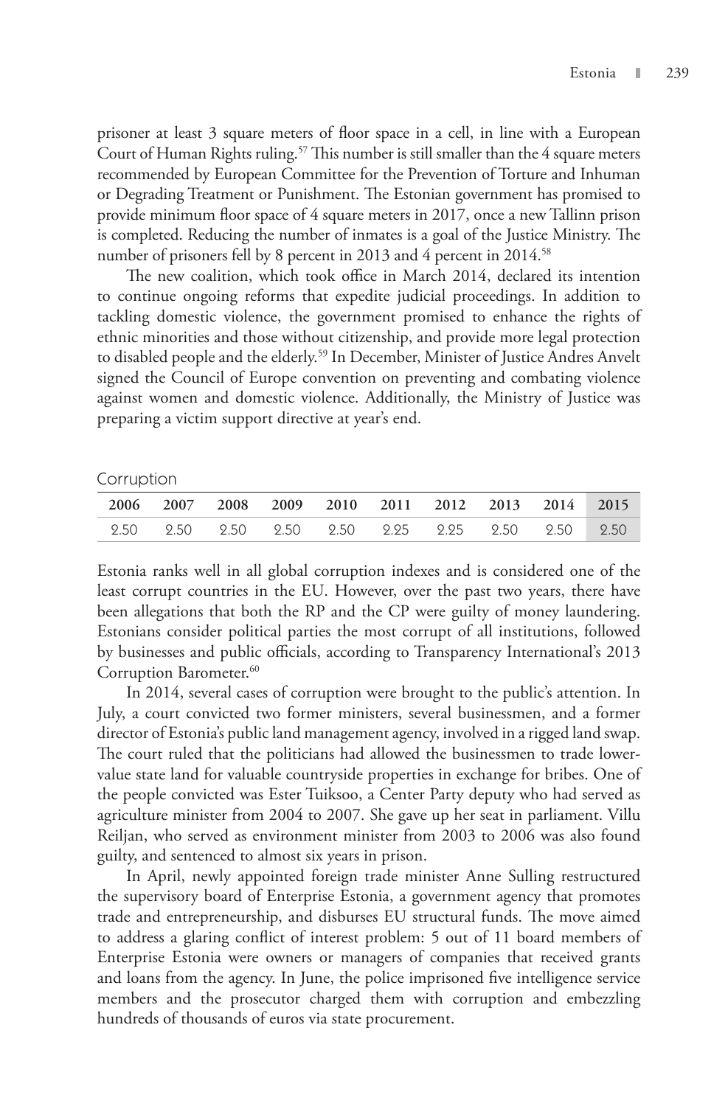prisoner at least 3 square meters of floor space in a cell, in line with a European Court of Human Rights ruling.<sup>57</sup> This number is still smaller than the 4 square meters recommended by European Committee for the Prevention of Torture and Inhuman or Degrading Treatment or Punishment. The Estonian government has promised to provide minimum floor space of 4 square meters in 2017, once a new Tallinn prison is completed. Reducing the number of inmates is a goal of the Justice Ministry. The number of prisoners fell by 8 percent in 2013 and 4 percent in 2014.<sup>58</sup>

The new coalition, which took office in March 2014, declared its intention to continue ongoing reforms that expedite judicial proceedings. In addition to tackling domestic violence, the government promised to enhance the rights of ethnic minorities and those without citizenship, and provide more legal protection to disabled people and the elderly.<sup>59</sup> In December, Minister of Justice Andres Anvelt signed the Council of Europe convention on preventing and combating violence against women and domestic violence. Additionally, the Ministry of Justice was preparing a victim support directive at year's end.

#### Corruption

|  |  |  | 2006 2007 2008 2009 2010 2011 2012 2013 2014 2015 |  |  |
|--|--|--|---------------------------------------------------|--|--|
|  |  |  |                                                   |  |  |

Estonia ranks well in all global corruption indexes and is considered one of the least corrupt countries in the EU. However, over the past two years, there have been allegations that both the RP and the CP were guilty of money laundering. Estonians consider political parties the most corrupt of all institutions, followed by businesses and public officials, according to Transparency International's 2013 Corruption Barometer.<sup>60</sup>

In 2014, several cases of corruption were brought to the public's attention. In July, a court convicted two former ministers, several businessmen, and a former director of Estonia's public land management agency, involved in a rigged land swap. The court ruled that the politicians had allowed the businessmen to trade lowervalue state land for valuable countryside properties in exchange for bribes. One of the people convicted was Ester Tuiksoo, a Center Party deputy who had served as agriculture minister from 2004 to 2007. She gave up her seat in parliament. Villu Reiljan, who served as environment minister from 2003 to 2006 was also found guilty, and sentenced to almost six years in prison.

In April, newly appointed foreign trade minister Anne Sulling restructured the supervisory board of Enterprise Estonia, a government agency that promotes trade and entrepreneurship, and disburses EU structural funds. The move aimed to address a glaring conflict of interest problem: 5 out of 11 board members of Enterprise Estonia were owners or managers of companies that received grants and loans from the agency. In June, the police imprisoned five intelligence service members and the prosecutor charged them with corruption and embezzling hundreds of thousands of euros via state procurement.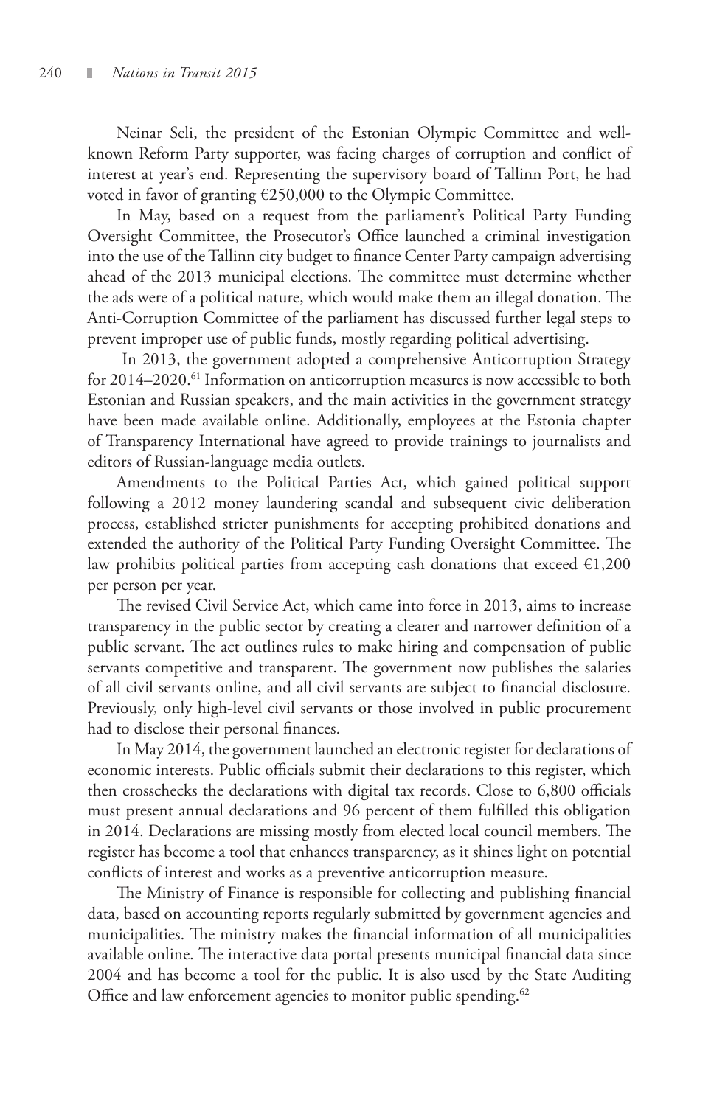Neinar Seli, the president of the Estonian Olympic Committee and wellknown Reform Party supporter, was facing charges of corruption and conflict of interest at year's end. Representing the supervisory board of Tallinn Port, he had voted in favor of granting €250,000 to the Olympic Committee.

In May, based on a request from the parliament's Political Party Funding Oversight Committee, the Prosecutor's Office launched a criminal investigation into the use of the Tallinn city budget to finance Center Party campaign advertising ahead of the 2013 municipal elections. The committee must determine whether the ads were of a political nature, which would make them an illegal donation. The Anti-Corruption Committee of the parliament has discussed further legal steps to prevent improper use of public funds, mostly regarding political advertising.

 In 2013, the government adopted a comprehensive Anticorruption Strategy for 2014–2020.<sup>61</sup> Information on anticorruption measures is now accessible to both Estonian and Russian speakers, and the main activities in the government strategy have been made available online. Additionally, employees at the Estonia chapter of Transparency International have agreed to provide trainings to journalists and editors of Russian-language media outlets.

Amendments to the Political Parties Act, which gained political support following a 2012 money laundering scandal and subsequent civic deliberation process, established stricter punishments for accepting prohibited donations and extended the authority of the Political Party Funding Oversight Committee. The law prohibits political parties from accepting cash donations that exceed  $\epsilon$ 1,200 per person per year.

The revised Civil Service Act, which came into force in 2013, aims to increase transparency in the public sector by creating a clearer and narrower definition of a public servant. The act outlines rules to make hiring and compensation of public servants competitive and transparent. The government now publishes the salaries of all civil servants online, and all civil servants are subject to financial disclosure. Previously, only high-level civil servants or those involved in public procurement had to disclose their personal finances.

In May 2014, the government launched an electronic register for declarations of economic interests. Public officials submit their declarations to this register, which then crosschecks the declarations with digital tax records. Close to 6,800 officials must present annual declarations and 96 percent of them fulfilled this obligation in 2014. Declarations are missing mostly from elected local council members. The register has become a tool that enhances transparency, as it shines light on potential conflicts of interest and works as a preventive anticorruption measure.

The Ministry of Finance is responsible for collecting and publishing financial data, based on accounting reports regularly submitted by government agencies and municipalities. The ministry makes the financial information of all municipalities available online. The interactive data portal presents municipal financial data since 2004 and has become a tool for the public. It is also used by the State Auditing Office and law enforcement agencies to monitor public spending.<sup>62</sup>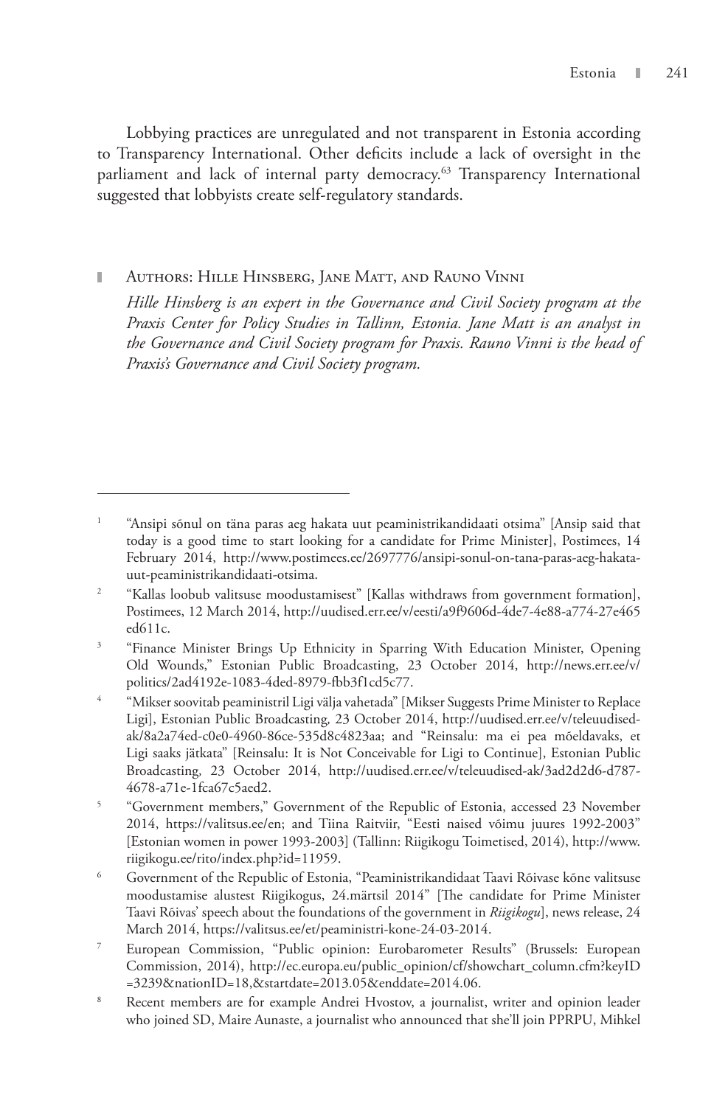Lobbying practices are unregulated and not transparent in Estonia according to Transparency International. Other deficits include a lack of oversight in the parliament and lack of internal party democracy.<sup>63</sup> Transparency International suggested that lobbyists create self-regulatory standards.

Authors: Hille Hinsberg, Jane Matt, and Rauno Vinni

*Hille Hinsberg is an expert in the Governance and Civil Society program at the Praxis Center for Policy Studies in Tallinn, Estonia. Jane Matt is an analyst in the Governance and Civil Society program for Praxis. Rauno Vinni is the head of Praxis's Governance and Civil Society program.*

<sup>1</sup> "Ansipi sõnul on täna paras aeg hakata uut peaministrikandidaati otsima" [Ansip said that today is a good time to start looking for a candidate for Prime Minister], Postimees, 14 February 2014, http://www.postimees.ee/2697776/ansipi-sonul-on-tana-paras-aeg-hakatauut-peaministrikandidaati-otsima.

<sup>2</sup> "Kallas loobub valitsuse moodustamisest" [Kallas withdraws from government formation], Postimees, 12 March 2014, http://uudised.err.ee/v/eesti/a9f9606d-4de7-4e88-a774-27e465 ed611c.

<sup>3</sup> "Finance Minister Brings Up Ethnicity in Sparring With Education Minister, Opening Old Wounds," Estonian Public Broadcasting, 23 October 2014, http://news.err.ee/v/ politics/2ad4192e-1083-4ded-8979-fbb3f1cd5c77.

<sup>4</sup> "Mikser soovitab peaministril Ligi välja vahetada" [Mikser Suggests Prime Minister to Replace Ligi], Estonian Public Broadcasting*,* 23 October 2014, http://uudised.err.ee/v/teleuudisedak/8a2a74ed-c0e0-4960-86ce-535d8c4823aa; and "Reinsalu: ma ei pea mõeldavaks, et Ligi saaks jätkata" [Reinsalu: It is Not Conceivable for Ligi to Continue], Estonian Public Broadcasting*,* 23 October 2014, http://uudised.err.ee/v/teleuudised-ak/3ad2d2d6-d787- 4678-a71e-1fca67c5aed2.

<sup>5</sup> "Government members," Government of the Republic of Estonia, accessed 23 November 2014, https://valitsus.ee/en; and Tiina Raitviir, "Eesti naised võimu juures 1992-2003" [Estonian women in power 1993-2003] (Tallinn: Riigikogu Toimetised, 2014), http://www. riigikogu.ee/rito/index.php?id=11959.

<sup>6</sup> Government of the Republic of Estonia, "Peaministrikandidaat Taavi Rõivase kõne valitsuse moodustamise alustest Riigikogus, 24.märtsil 2014" [The candidate for Prime Minister Taavi Rõivas' speech about the foundations of the government in *Riigikogu*], news release, 24 March 2014, https://valitsus.ee/et/peaministri-kone-24-03-2014.

<sup>7</sup> European Commission, "Public opinion: Eurobarometer Results" (Brussels: European Commission, 2014), http://ec.europa.eu/public\_opinion/cf/showchart\_column.cfm?keyID =3239&nationID=18,&startdate=2013.05&enddate=2014.06.

<sup>8</sup> Recent members are for example Andrei Hvostov, a journalist, writer and opinion leader who joined SD, Maire Aunaste, a journalist who announced that she'll join PPRPU, Mihkel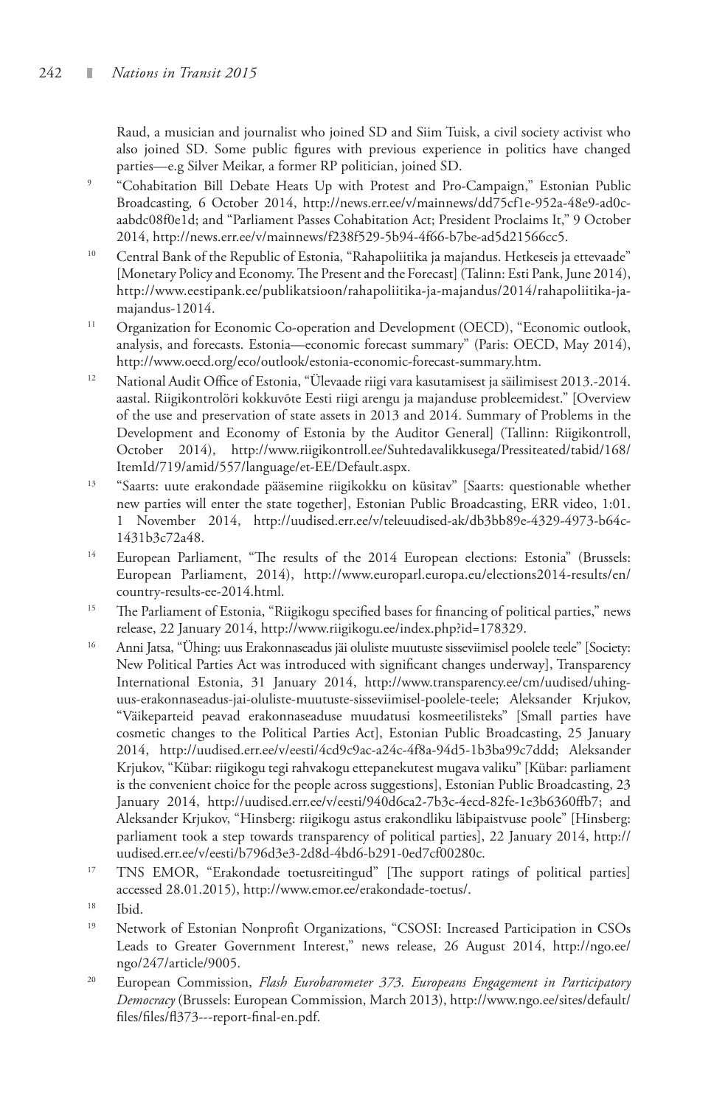Raud, a musician and journalist who joined SD and Siim Tuisk, a civil society activist who also joined SD. Some public figures with previous experience in politics have changed parties—e.g Silver Meikar, a former RP politician, joined SD.

- 9 "Cohabitation Bill Debate Heats Up with Protest and Pro-Campaign," Estonian Public Broadcasting*,* 6 October 2014, http://news.err.ee/v/mainnews/dd75cf1e-952a-48e9-ad0caabdc08f0e1d; and "Parliament Passes Cohabitation Act; President Proclaims It," 9 October 2014, http://news.err.ee/v/mainnews/f238f529-5b94-4f66-b7be-ad5d21566cc5.
- 10 Central Bank of the Republic of Estonia, "Rahapoliitika ja majandus. Hetkeseis ja ettevaade" [Monetary Policy and Economy. The Present and the Forecast] (Talinn: Esti Pank, June 2014), http://www.eestipank.ee/publikatsioon/rahapoliitika-ja-majandus/2014/rahapoliitika-jamajandus-12014.
- <sup>11</sup> Organization for Economic Co-operation and Development (OECD), "Economic outlook, analysis, and forecasts. Estonia—economic forecast summary" (Paris: OECD, May 2014), http://www.oecd.org/eco/outlook/estonia-economic-forecast-summary.htm.
- <sup>12</sup> National Audit Office of Estonia, "Ülevaade riigi vara kasutamisest ja säilimisest 2013.-2014. aastal. Riigikontrolöri kokkuvõte Eesti riigi arengu ja majanduse probleemidest." [Overview of the use and preservation of state assets in 2013 and 2014. Summary of Problems in the Development and Economy of Estonia by the Auditor General] (Tallinn: Riigikontroll, October 2014), http://www.riigikontroll.ee/Suhtedavalikkusega/Pressiteated/tabid/168/ ItemId/719/amid/557/language/et-EE/Default.aspx.
- <sup>13</sup> "Saarts: uute erakondade pääsemine riigikokku on küsitav" [Saarts: questionable whether new parties will enter the state together], Estonian Public Broadcasting, ERR video, 1:01. 1 November 2014, http://uudised.err.ee/v/teleuudised-ak/db3bb89e-4329-4973-b64c-1431b3c72a48.
- <sup>14</sup> European Parliament, "The results of the 2014 European elections: Estonia" (Brussels: European Parliament, 2014), http://www.europarl.europa.eu/elections2014-results/en/ country-results-ee-2014.html.
- <sup>15</sup> The Parliament of Estonia, "Riigikogu specified bases for financing of political parties," news release, 22 January 2014, http://www.riigikogu.ee/index.php?id=178329.
- 16 Anni Jatsa, "Ühing: uus Erakonnaseadus jäi oluliste muutuste sisseviimisel poolele teele" [Society: New Political Parties Act was introduced with significant changes underway], Transparency International Estonia, 31 January 2014, http://www.transparency.ee/cm/uudised/uhinguus-erakonnaseadus-jai-oluliste-muutuste-sisseviimisel-poolele-teele; Aleksander Krjukov, "Väikeparteid peavad erakonnaseaduse muudatusi kosmeetilisteks" [Small parties have cosmetic changes to the Political Parties Act], Estonian Public Broadcasting, 25 January 2014, http://uudised.err.ee/v/eesti/4cd9c9ac-a24c-4f8a-94d5-1b3ba99c7ddd; Aleksander Krjukov, "Kübar: riigikogu tegi rahvakogu ettepanekutest mugava valiku" [Kübar: parliament is the convenient choice for the people across suggestions], Estonian Public Broadcasting, 23 January 2014, http://uudised.err.ee/v/eesti/940d6ca2-7b3c-4ecd-82fe-1e3b6360ffb7; and Aleksander Krjukov, "Hinsberg: riigikogu astus erakondliku läbipaistvuse poole" [Hinsberg: parliament took a step towards transparency of political parties], 22 January 2014, http:// uudised.err.ee/v/eesti/b796d3e3-2d8d-4bd6-b291-0ed7cf00280c.
- <sup>17</sup> TNS EMOR, "Erakondade toetusreitingud" [The support ratings of political parties] accessed 28.01.2015), http://www.emor.ee/erakondade-toetus/.
- 18 Ibid.
- <sup>19</sup> Network of Estonian Nonprofit Organizations, "CSOSI: Increased Participation in CSOs Leads to Greater Government Interest," news release, 26 August 2014, http://ngo.ee/ ngo/247/article/9005.
- 20 European Commission, *Flash Eurobarometer 373. Europeans Engagement in Participatory Democracy* (Brussels: European Commission, March 2013), http://www.ngo.ee/sites/default/ files/files/fl373---report-final-en.pdf.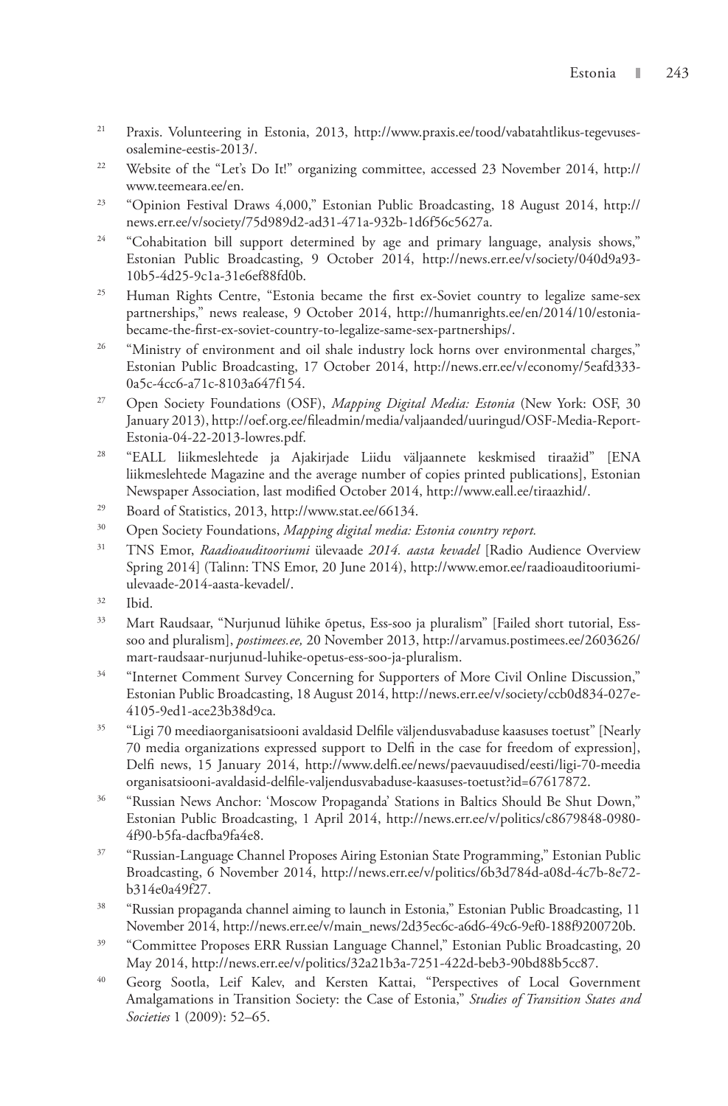- 21 Praxis. Volunteering in Estonia, 2013, http://www.praxis.ee/tood/vabatahtlikus-tegevusesosalemine-eestis-2013/.
- <sup>22</sup> Website of the "Let's Do It!" organizing committee, accessed 23 November 2014, http:// www.teemeara.ee/en.
- <sup>23</sup> "Opinion Festival Draws 4,000," Estonian Public Broadcasting, 18 August 2014, http:// news.err.ee/v/society/75d989d2-ad31-471a-932b-1d6f56c5627a.
- <sup>24</sup> "Cohabitation bill support determined by age and primary language, analysis shows," Estonian Public Broadcasting, 9 October 2014, http://news.err.ee/v/society/040d9a93- 10b5-4d25-9c1a-31e6ef88fd0b.
- <sup>25</sup> Human Rights Centre, "Estonia became the first ex-Soviet country to legalize same-sex partnerships," news realease, 9 October 2014, http://humanrights.ee/en/2014/10/estoniabecame-the-first-ex-soviet-country-to-legalize-same-sex-partnerships/.
- <sup>26</sup> "Ministry of environment and oil shale industry lock horns over environmental charges," Estonian Public Broadcasting, 17 October 2014, http://news.err.ee/v/economy/5eafd333- 0a5c-4cc6-a71c-8103a647f154.
- 27 Open Society Foundations (OSF), *Mapping Digital Media: Estonia* (New York: OSF, 30 January 2013), http://oef.org.ee/fileadmin/media/valjaanded/uuringud/OSF-Media-Report-Estonia-04-22-2013-lowres.pdf.
- 28 "EALL liikmeslehtede ja Ajakirjade Liidu väljaannete keskmised tiraažid" [ENA liikmeslehtede Magazine and the average number of copies printed publications], Estonian Newspaper Association, last modified October 2014, http://www.eall.ee/tiraazhid/.
- 29 Board of Statistics, 2013, http://www.stat.ee/66134.
- 30 Open Society Foundations, *Mapping digital media: Estonia country report.*
- 31 TNS Emor, *Raadioauditooriumi* ülevaade *2014. aasta kevadel* [Radio Audience Overview Spring 2014] (Talinn: TNS Emor, 20 June 2014), http://www.emor.ee/raadioauditooriumiulevaade-2014-aasta-kevadel/.
- 32 Ibid.
- 33 Mart Raudsaar, "Nurjunud lühike õpetus, Ess-soo ja pluralism" [Failed short tutorial, Esssoo and pluralism], *postimees.ee,* 20 November 2013, http://arvamus.postimees.ee/2603626/ mart-raudsaar-nurjunud-luhike-opetus-ess-soo-ja-pluralism.
- <sup>34</sup> "Internet Comment Survey Concerning for Supporters of More Civil Online Discussion," Estonian Public Broadcasting, 18 August 2014, http://news.err.ee/v/society/ccb0d834-027e-4105-9ed1-ace23b38d9ca.
- 35 "Ligi 70 meediaorganisatsiooni avaldasid Delfile väljendusvabaduse kaasuses toetust" [Nearly 70 media organizations expressed support to Delfi in the case for freedom of expression], Delfi news, 15 January 2014, http://www.delfi.ee/news/paevauudised/eesti/ligi-70-meedia organisatsiooni-avaldasid-delfile-valjendusvabaduse-kaasuses-toetust?id=67617872.
- <sup>36</sup> "Russian News Anchor: 'Moscow Propaganda' Stations in Baltics Should Be Shut Down," Estonian Public Broadcasting, 1 April 2014, http://news.err.ee/v/politics/c8679848-0980- 4f90-b5fa-dacfba9fa4e8.
- 37 "Russian-Language Channel Proposes Airing Estonian State Programming," Estonian Public Broadcasting, 6 November 2014, http://news.err.ee/v/politics/6b3d784d-a08d-4c7b-8e72 b314e0a49f27.
- <sup>38</sup> "Russian propaganda channel aiming to launch in Estonia," Estonian Public Broadcasting, 11 November 2014, http://news.err.ee/v/main\_news/2d35ec6c-a6d6-49c6-9ef0-188f9200720b.
- <sup>39</sup> "Committee Proposes ERR Russian Language Channel," Estonian Public Broadcasting, 20 May 2014, http://news.err.ee/v/politics/32a21b3a-7251-422d-beb3-90bd88b5cc87.
- 40 Georg Sootla, Leif Kalev, and Kersten Kattai, "Perspectives of Local Government Amalgamations in Transition Society: the Case of Estonia," *Studies of Transition States and Societies* 1 (2009): 52–65.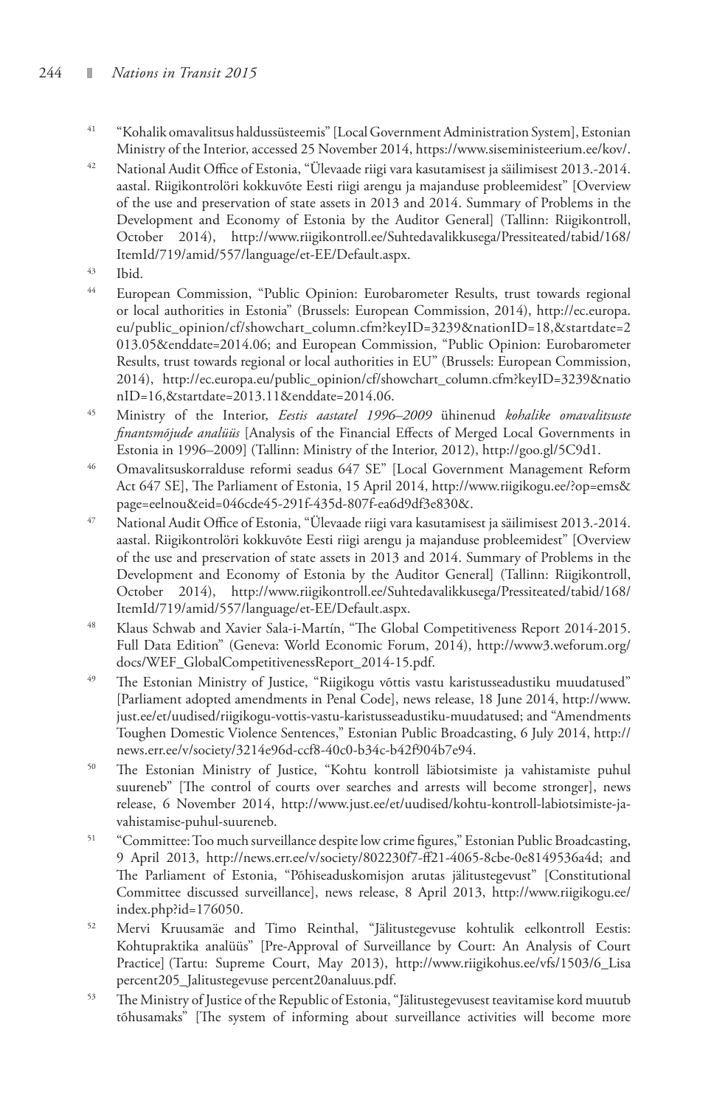### 244 *Nations in Transit 2015*

- 41 "Kohalik omavalitsus haldussüsteemis" [Local Government Administration System], Estonian Ministry of the Interior, accessed 25 November 2014, https://www.siseministeerium.ee/kov/.
- 42 National Audit Office of Estonia, "Ülevaade riigi vara kasutamisest ja säilimisest 2013.-2014. aastal. Riigikontrolöri kokkuvõte Eesti riigi arengu ja majanduse probleemidest" [Overview of the use and preservation of state assets in 2013 and 2014. Summary of Problems in the Development and Economy of Estonia by the Auditor General] (Tallinn: Riigikontroll, October 2014), http://www.riigikontroll.ee/Suhtedavalikkusega/Pressiteated/tabid/168/ ItemId/719/amid/557/language/et-EE/Default.aspx.
- $\frac{43}{44}$  Ibid.
- 44 European Commission, "Public Opinion: Eurobarometer Results, trust towards regional or local authorities in Estonia" (Brussels: European Commission, 2014), http://ec.europa. eu/public\_opinion/cf/showchart\_column.cfm?keyID=3239&nationID=18,&startdate=2 013.05&enddate=2014.06; and European Commission, "Public Opinion: Eurobarometer Results, trust towards regional or local authorities in EU" (Brussels: European Commission, 2014), http://ec.europa.eu/public\_opinion/cf/showchart\_column.cfm?keyID=3239&natio nID=16,&startdate=2013.11&enddate=2014.06.
- 45 Ministry of the Interior, *Eestis aastatel 1996–2009* ühinenud *kohalike omavalitsuste finantsmõjude analüüs* [Analysis of the Financial Effects of Merged Local Governments in Estonia in 1996–2009] (Tallinn: Ministry of the Interior, 2012), http://goo.gl/5C9d1.
- 46 Omavalitsuskorralduse reformi seadus 647 SE" [Local Government Management Reform Act 647 SE], The Parliament of Estonia, 15 April 2014, http://www.riigikogu.ee/?op=ems& page=eelnou&eid=046cde45-291f-435d-807f-ea6d9df3e830&.
- 47 National Audit Office of Estonia, "Ülevaade riigi vara kasutamisest ja säilimisest 2013.-2014. aastal. Riigikontrolöri kokkuvõte Eesti riigi arengu ja majanduse probleemidest" [Overview of the use and preservation of state assets in 2013 and 2014. Summary of Problems in the Development and Economy of Estonia by the Auditor General] (Tallinn: Riigikontroll, October 2014), http://www.riigikontroll.ee/Suhtedavalikkusega/Pressiteated/tabid/168/ ItemId/719/amid/557/language/et-EE/Default.aspx.
- 48 Klaus Schwab and Xavier Sala-i-Martín, "The Global Competitiveness Report 2014-2015. Full Data Edition" (Geneva: World Economic Forum, 2014), http://www3.weforum.org/ docs/WEF\_GlobalCompetitivenessReport\_2014-15.pdf.
- 49 The Estonian Ministry of Justice, "Riigikogu võttis vastu karistusseadustiku muudatused" [Parliament adopted amendments in Penal Code], news release, 18 June 2014, http://www. just.ee/et/uudised/riigikogu-vottis-vastu-karistusseadustiku-muudatused; and "Amendments Toughen Domestic Violence Sentences," Estonian Public Broadcasting, 6 July 2014, http:// news.err.ee/v/society/3214e96d-ccf8-40c0-b34c-b42f904b7e94.
- 50 The Estonian Ministry of Justice, "Kohtu kontroll läbiotsimiste ja vahistamiste puhul suureneb" [The control of courts over searches and arrests will become stronger], news release, 6 November 2014, http://www.just.ee/et/uudised/kohtu-kontroll-labiotsimiste-javahistamise-puhul-suureneb.
- <sup>51</sup> "Committee: Too much surveillance despite low crime figures," Estonian Public Broadcasting, 9 April 2013, http://news.err.ee/v/society/802230f7-ff21-4065-8cbe-0e8149536a4d; and The Parliament of Estonia, "Põhiseaduskomisjon arutas jälitustegevust" [Constitutional Committee discussed surveillance], news release, 8 April 2013, http://www.riigikogu.ee/ index.php?id=176050.
- 52 Mervi Kruusamäe and Timo Reinthal, "Jälitustegevuse kohtulik eelkontroll Eestis: Kohtupraktika analüüs" [Pre-Approval of Surveillance by Court: An Analysis of Court Practice] (Tartu: Supreme Court, May 2013), http://www.riigikohus.ee/vfs/1503/6\_Lisa percent205\_Jalitustegevuse percent20analuus.pdf.
- 53 The Ministry of Justice of the Republic of Estonia, "Jälitustegevusest teavitamise kord muutub tõhusamaks" [The system of informing about surveillance activities will become more